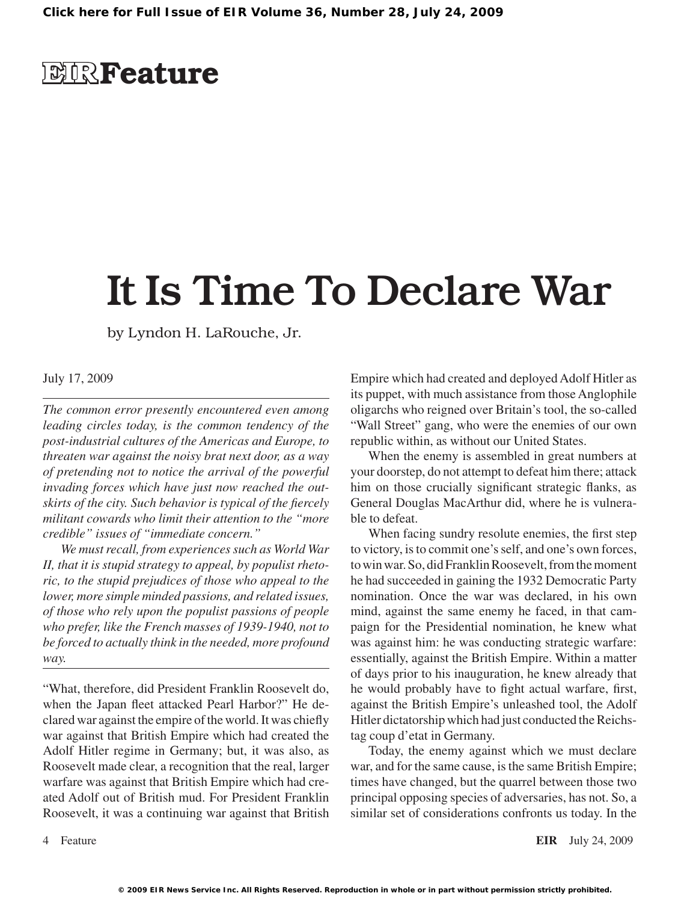### **EIR**Feature

# It Is Time To Declare War

by Lyndon H. LaRouche, Jr.

#### July 17, 2009

*The common error presently encountered even among leading circles today, is the common tendency of the post-industrial cultures of the Americas and Europe, to threaten war against the noisy brat next door, as a way of pretending not to notice the arrival of the powerful invading forces which have just now reached the outskirts of the city. Such behavior is typical of the fiercely militant cowards who limit their attention to the "more credible" issues of "immediate concern."*

*We must recall, from experiences such as World War II, that it is stupid strategy to appeal, by populist rhetoric, to the stupid prejudices of those who appeal to the lower, more simple minded passions, and related issues, of those who rely upon the populist passions of people who prefer, like the French masses of 1939-1940, not to be forced to actually think in the needed, more profound way.*

"What, therefore, did President Franklin Roosevelt do, when the Japan fleet attacked Pearl Harbor?" He declared war against the empire of the world. It was chiefly war against that British Empire which had created the Adolf Hitler regime in Germany; but, it was also, as Roosevelt made clear, a recognition that the real, larger warfare was against that British Empire which had created Adolf out of British mud. For President Franklin Roosevelt, it was a continuing war against that British

Empire which had created and deployed Adolf Hitler as its puppet, with much assistance from those Anglophile oligarchs who reigned over Britain's tool, the so-called "Wall Street" gang, who were the enemies of our own republic within, as without our United States.

When the enemy is assembled in great numbers at your doorstep, do not attempt to defeat him there; attack him on those crucially significant strategic flanks, as General Douglas MacArthur did, where he is vulnerable to defeat.

When facing sundry resolute enemies, the first step to victory, is to commit one's self, and one's own forces, to win war. So, did Franklin Roosevelt, from the moment he had succeeded in gaining the 1932 Democratic Party nomination. Once the war was declared, in his own mind, against the same enemy he faced, in that campaign for the Presidential nomination, he knew what was against him: he was conducting strategic warfare: essentially, against the British Empire. Within a matter of days prior to his inauguration, he knew already that he would probably have to fight actual warfare, first, against the British Empire's unleashed tool, the Adolf Hitler dictatorship which had just conducted the Reichstag coup d'etat in Germany.

Today, the enemy against which we must declare war, and for the same cause, is the same British Empire; times have changed, but the quarrel between those two principal opposing species of adversaries, has not. So, a similar set of considerations confronts us today. In the

Feature **EIR** July 24, 2009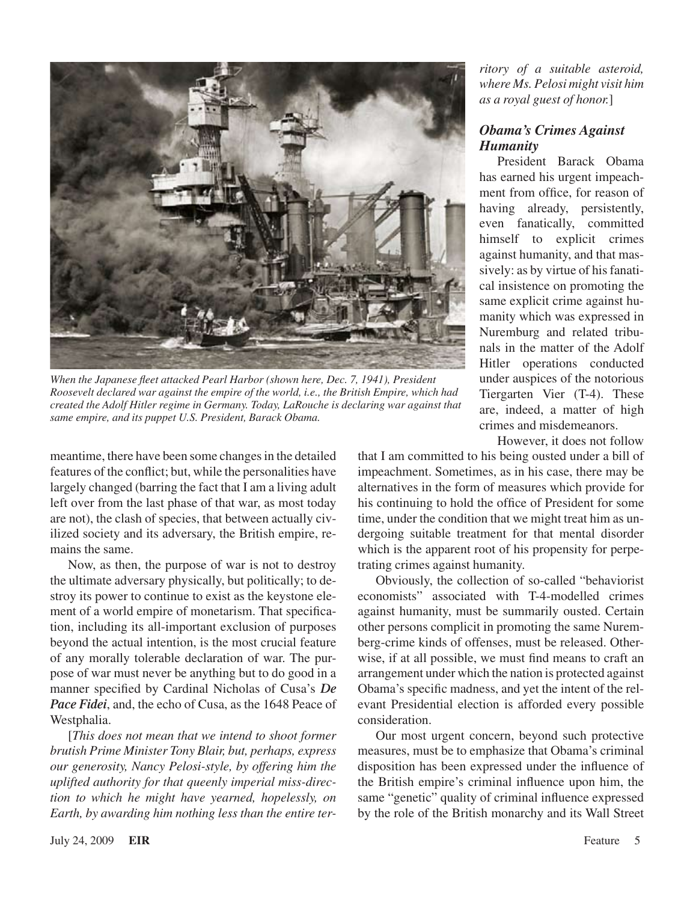

*When the Japanese fleet attacked Pearl Harbor (shown here, Dec. 7, 1941), President Roosevelt declared war against the empire of the world, i.e., the British Empire, which had created the Adolf Hitler regime in Germany. Today, LaRouche is declaring war against that same empire, and its puppet U.S. President, Barack Obama.*

meantime, there have been some changes in the detailed features of the conflict; but, while the personalities have largely changed (barring the fact that I am a living adult left over from the last phase of that war, as most today are not), the clash of species, that between actually civilized society and its adversary, the British empire, remains the same.

Now, as then, the purpose of war is not to destroy the ultimate adversary physically, but politically; to destroy its power to continue to exist as the keystone element of a world empire of monetarism. That specification, including its all-important exclusion of purposes beyond the actual intention, is the most crucial feature of any morally tolerable declaration of war. The purpose of war must never be anything but to do good in a manner specified by Cardinal Nicholas of Cusa's *De Pace Fidei*, and, the echo of Cusa, as the 1648 Peace of Westphalia.

[*This does not mean that we intend to shoot former brutish Prime Minister Tony Blair, but, perhaps, express our generosity, Nancy Pelosi-style, by offering him the uplifted authority for that queenly imperial miss-direction to which he might have yearned, hopelessly, on Earth, by awarding him nothing less than the entire ter-*

*ritory of a suitable asteroid, where Ms. Pelosi might visit him as a royal guest of honor.*]

#### *Obama's Crimes Against Humanity*

President Barack Obama has earned his urgent impeachment from office, for reason of having already, persistently, even fanatically, committed himself to explicit crimes against humanity, and that massively: as by virtue of his fanatical insistence on promoting the same explicit crime against humanity which was expressed in Nuremburg and related tribunals in the matter of the Adolf Hitler operations conducted under auspices of the notorious Tiergarten Vier (T-4). These are, indeed, a matter of high crimes and misdemeanors.

However, it does not follow

that I am committed to his being ousted under a bill of impeachment. Sometimes, as in his case, there may be alternatives in the form of measures which provide for his continuing to hold the office of President for some time, under the condition that we might treat him as undergoing suitable treatment for that mental disorder which is the apparent root of his propensity for perpetrating crimes against humanity.

Obviously, the collection of so-called "behaviorist economists" associated with T-4-modelled crimes against humanity, must be summarily ousted. Certain other persons complicit in promoting the same Nuremberg-crime kinds of offenses, must be released. Otherwise, if at all possible, we must find means to craft an arrangement under which the nation is protected against Obama's specific madness, and yet the intent of the relevant Presidential election is afforded every possible consideration.

Our most urgent concern, beyond such protective measures, must be to emphasize that Obama's criminal disposition has been expressed under the influence of the British empire's criminal influence upon him, the same "genetic" quality of criminal influence expressed by the role of the British monarchy and its Wall Street